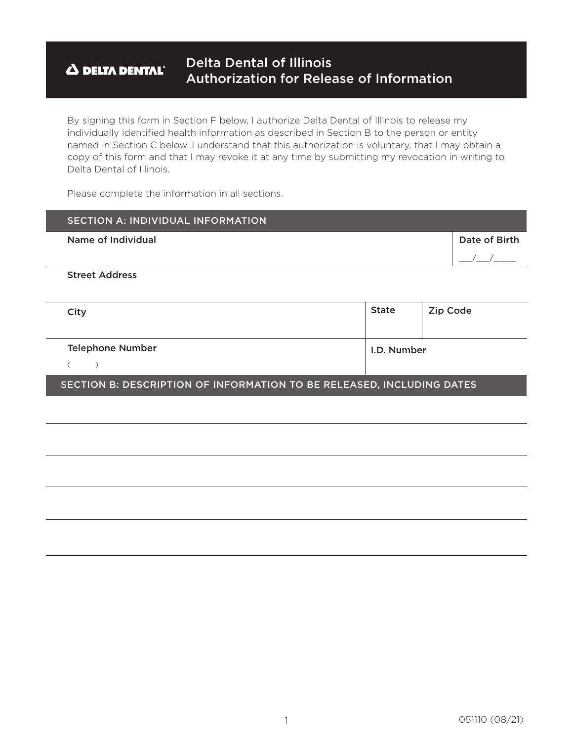#### Delta Dental of Illinois **A DELTA DENTAL** Authorization for Release of Information

By signing this form in Section F below, I authorize Delta Dental of Illinois to release my individually identifed health information as described in Section B to the person or entity named in Section C below. I understand that this authorization is voluntary, that I may obtain a copy of this form and that I may revoke it at any time by submitting my revocation in writing to Delta Dental of Illinois.

Please complete the information in all sections.

| <b>SECTION A: INDIVIDUAL INFORMATION</b>                              |              |          |               |  |
|-----------------------------------------------------------------------|--------------|----------|---------------|--|
| Name of Individual                                                    |              |          | Date of Birth |  |
|                                                                       |              |          |               |  |
| <b>Street Address</b>                                                 |              |          |               |  |
|                                                                       |              |          |               |  |
| City                                                                  | <b>State</b> | Zip Code |               |  |
|                                                                       |              |          |               |  |
| <b>Telephone Number</b>                                               | I.D. Number  |          |               |  |
|                                                                       |              |          |               |  |
| SECTION B: DESCRIPTION OF INFORMATION TO BE RELEASED, INCLUDING DATES |              |          |               |  |
|                                                                       |              |          |               |  |